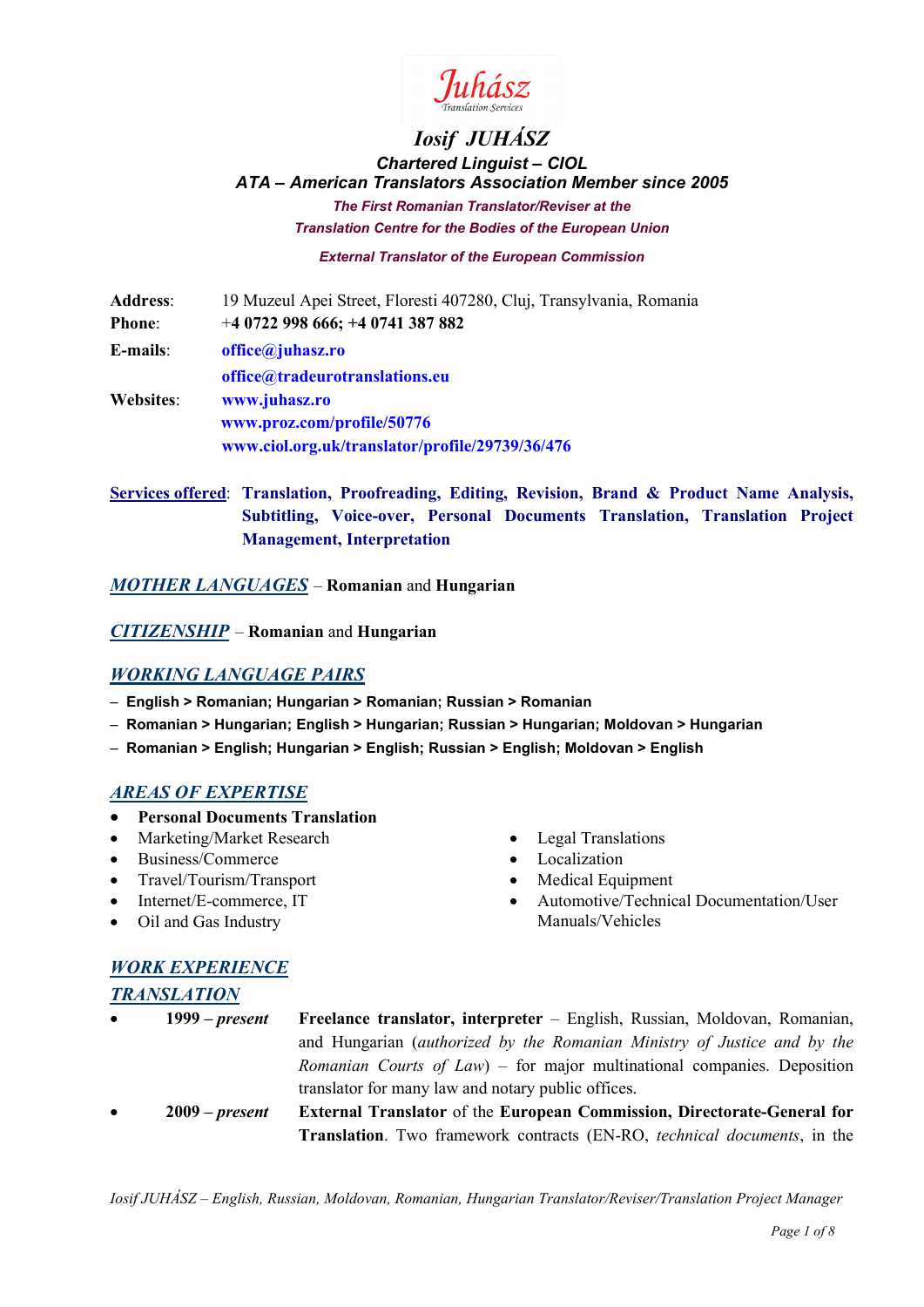

# *Iosif JUHÁSZ Chartered Linguist – CIOL ATA – American Translators Association Member since 2005 The First Romanian Translator/Reviser at the Translation Centre for the Bodies of the European Union*

*External Translator of the European Commission*

| <b>Address:</b> | 19 Muzeul Apei Street, Floresti 407280, Cluj, Transylvania, Romania |
|-----------------|---------------------------------------------------------------------|
| <b>Phone:</b>   | $+40722998666$ ; $+40741387882$                                     |
| $E$ -mails:     | office@juhasz.ro                                                    |
|                 | office@tradeurotranslations.eu                                      |
| Websites:       | www.juhasz.ro                                                       |
|                 | www.proz.com/profile/50776                                          |
|                 | www.ciol.org.uk/translator/profile/29739/36/476                     |

**Services offered**: **Translation, Proofreading, Editing, Revision, Brand & Product Name Analysis, Subtitling, Voice-over, Personal Documents Translation, Translation Project Management, Interpretation**

*MOTHER LANGUAGES* – **Romanian** and **Hungarian**

*CITIZENSHIP* – **Romanian** and **Hungarian**

# *WORKING LANGUAGE PAIRS*

- – **English > Romanian; Hungarian > Romanian; Russian > Romanian**
- – **Romanian > Hungarian; English > Hungarian; Russian > Hungarian; Moldovan > Hungarian**
- – **Romanian > English; Hungarian > English; Russian > English; Moldovan > English**

#### *AREAS OF EXPERTISE*

- **Personal Documents Translation**
- Marketing/Market Research
- Business/Commerce
- Travel/Tourism/Transport
- Internet/E-commerce, IT
- Oil and Gas Industry
- Legal Translations
- Localization
- Medical Equipment
- Automotive/Technical Documentation/User Manuals/Vehicles

# *WORK EXPERIENCE*

#### *TRANSLATION*

- **1999 –** *present* **Freelance translator, interpreter** English, Russian, Moldovan, Romanian, and Hungarian (*authorized by the Romanian Ministry of Justice and by the Romanian Courts of Law*) – for major multinational companies. Deposition translator for many law and notary public offices.
- **2009 –** *present* **External Translator** of the **European Commission, Directorate-General for Translation**. Two framework contracts (EN-RO, *technical documents*, in the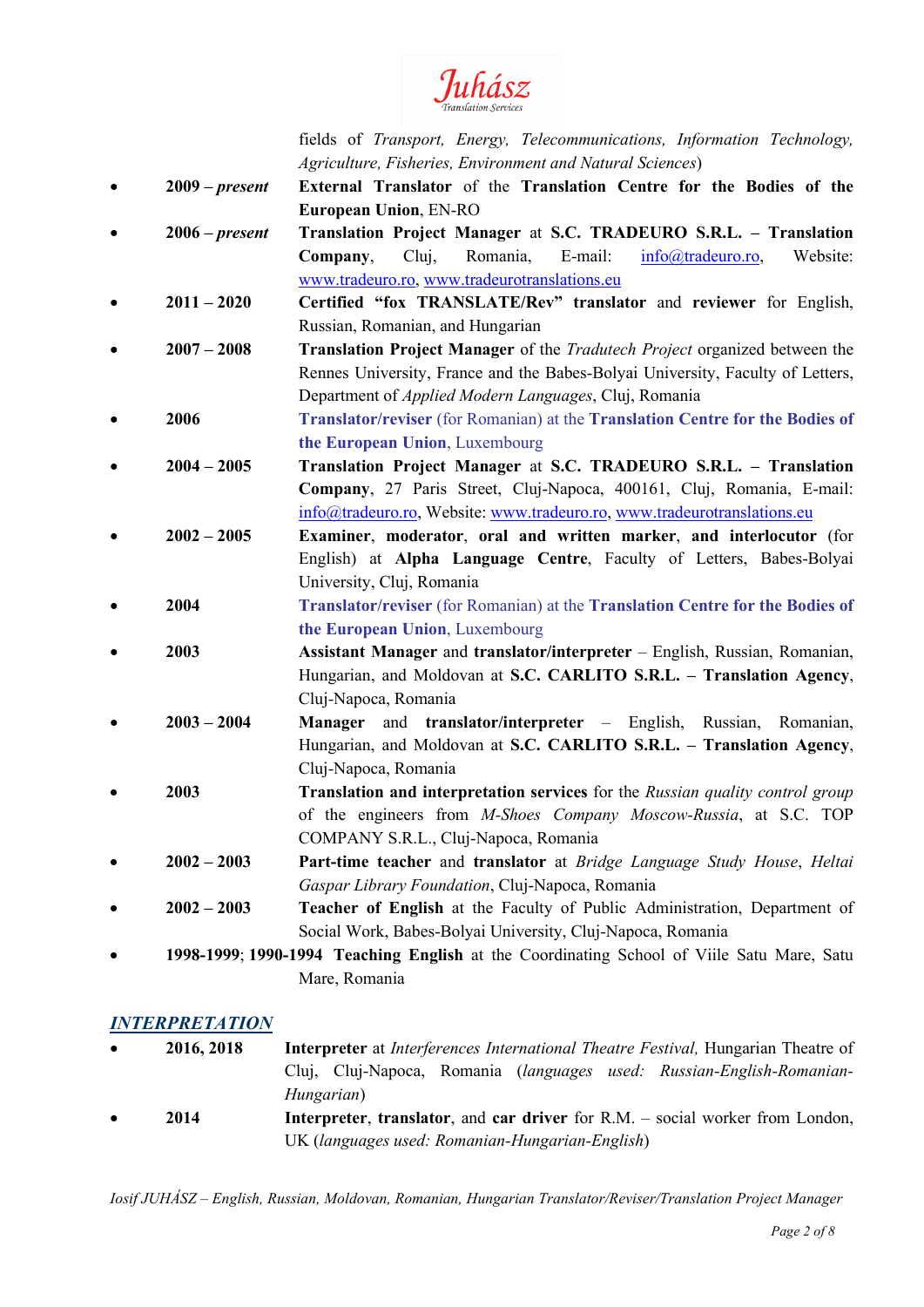

fields of *Transport, Energy, Telecommunications, Information Technology, Agriculture, Fisheries, Environment and Natural Sciences*)

- **2009 –** *present* **External Translator** of the **Translation Centre for the Bodies of the European Union**, EN-RO
- **2006 –** *present* **Translation Project Manager** at **S.C. TRADEURO S.R.L. – Translation Company**, Cluj, Romania, E-mail: [info@tradeuro.ro,](mailto:info@tradeuro.ro) Website: [www.tradeuro.ro,](http://www.tradeuro.ro/) [www.tradeurotranslations.eu](http://www.tradeurotranslations.eu/)
- **2011 – 2020 Certified "fox TRANSLATE/Rev" translator** and **reviewer** for English, Russian, Romanian, and Hungarian
- **2007 – 2008 Translation Project Manager** of the *Tradutech Project* organized between the Rennes University, France and the Babes-Bolyai University, Faculty of Letters, Department of *Applied Modern Languages*, Cluj, Romania
- **2006 Translator/reviser** (for Romanian) at the **Translation Centre for the Bodies of the European Union**, Luxembourg
- **2004 – 2005 Translation Project Manager** at **S.C. TRADEURO S.R.L. – Translation Company**, 27 Paris Street, Cluj-Napoca, 400161, Cluj, Romania, E-mail: [info@tradeuro.ro,](mailto:info@tradeuro.ro) Website: [www.tradeuro.ro,](http://www.tradeuro.ro/) [www.tradeurotranslations.eu](http://www.tradeurotranslations.eu/)
- **2002 – 2005 Examiner**, **moderator**, **oral and written marker**, **and interlocutor** (for English) at **Alpha Language Centre**, Faculty of Letters, Babes-Bolyai University, Cluj, Romania
- **2004 Translator/reviser** (for Romanian) at the **Translation Centre for the Bodies of the European Union**, Luxembourg
- **2003 Assistant Manager** and **translator/interpreter** English, Russian, Romanian, Hungarian, and Moldovan at **S.C. CARLITO S.R.L. – Translation Agency**, Cluj-Napoca, Romania
- **2003 – 2004 Manager** and **translator/interpreter** English, Russian, Romanian, Hungarian, and Moldovan at **S.C. CARLITO S.R.L. – Translation Agency**, Cluj-Napoca, Romania
- **2003 Translation and interpretation services** for the *Russian quality control group* of the engineers from *M-Shoes Company Moscow-Russia*, at S.C. TOP COMPANY S.R.L., Cluj-Napoca, Romania
- **2002 – 2003 Part-time teacher** and **translator** at *Bridge Language Study House*, *Heltai Gaspar Library Foundation*, Cluj-Napoca, Romania
- **2002 – 2003 Teacher of English** at the Faculty of Public Administration, Department of Social Work, Babes-Bolyai University, Cluj-Napoca, Romania
- **1998-1999**; **1990-1994 Teaching English** at the Coordinating School of Viile Satu Mare, Satu Mare, Romania

# *INTERPRETATION*

- **2016, 2018 Interpreter** at *Interferences International Theatre Festival,* Hungarian Theatre of Cluj, Cluj-Napoca, Romania (*languages used: Russian-English-Romanian-Hungarian*)
- **2014 Interpreter**, **translator**, and **car driver** for R.M. social worker from London, UK (*languages used: Romanian-Hungarian-English*)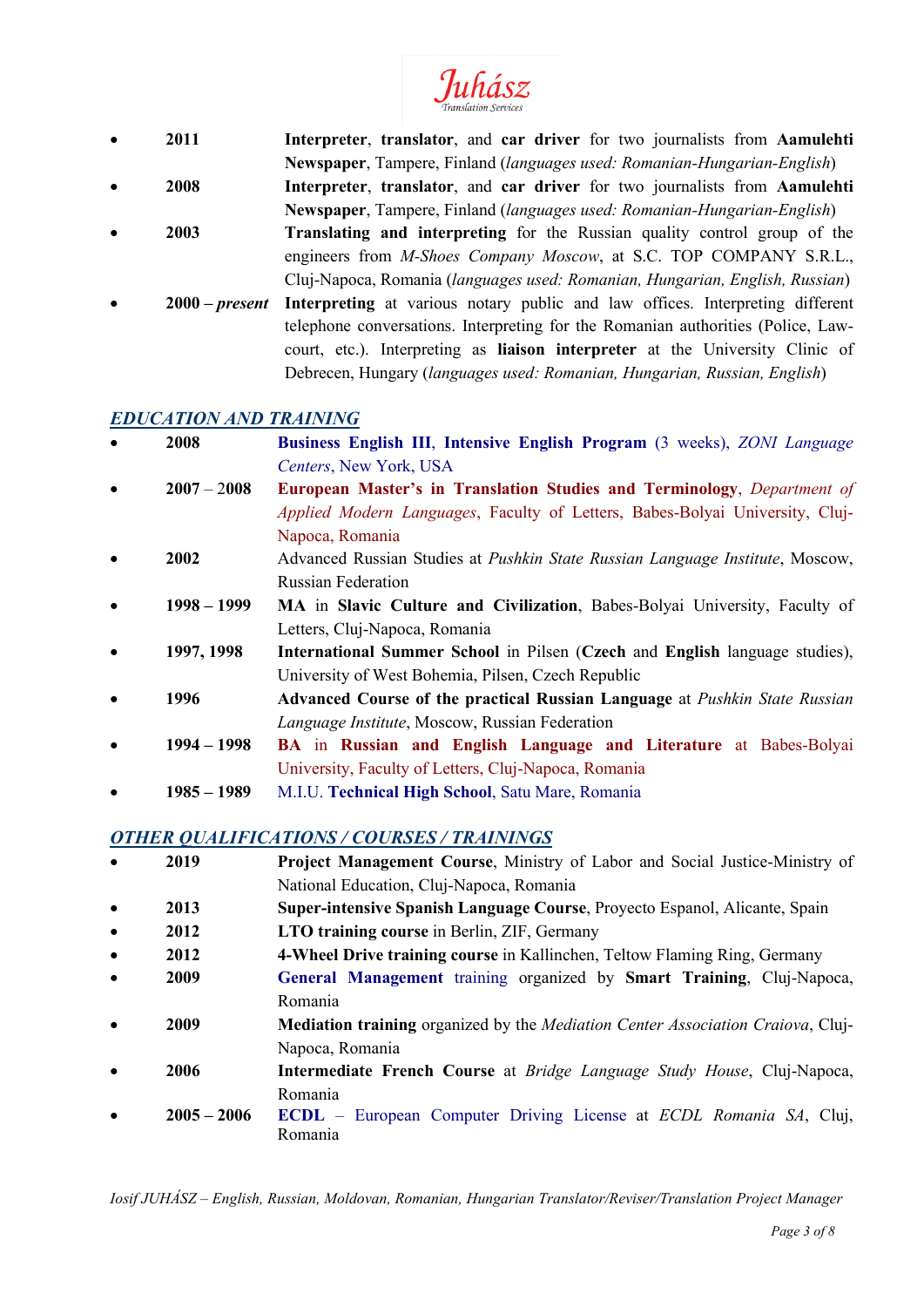# Juhász

• **2011 Interpreter**, **translator**, and **car driver** for two journalists from **Aamulehti Newspaper**, Tampere, Finland (*languages used: Romanian-Hungarian-English*) • **2008 Interpreter**, **translator**, and **car driver** for two journalists from **Aamulehti Newspaper**, Tampere, Finland (*languages used: Romanian-Hungarian-English*) • **2003 Translating and interpreting** for the Russian quality control group of the engineers from *M-Shoes Company Moscow*, at S.C. TOP COMPANY S.R.L., Cluj-Napoca, Romania (*languages used: Romanian, Hungarian, English, Russian*) • **2000 –** *present* **Interpreting** at various notary public and law offices. Interpreting different telephone conversations. Interpreting for the Romanian authorities (Police, Lawcourt, etc.). Interpreting as **liaison interpreter** at the University Clinic of

# *EDUCATION AND TRAINING*

• **2008 Business English III**, **Intensive English Program** (3 weeks), *ZONI Language Centers*, New York, USA

Debrecen, Hungary (*languages used: Romanian, Hungarian, Russian, English*)

- **2007** 2**008 European Master's in Translation Studies and Terminology**, *Department of Applied Modern Languages*, Faculty of Letters, Babes-Bolyai University, Cluj-Napoca, Romania
- **2002** Advanced Russian Studies at *Pushkin State Russian Language Institute*, Moscow, Russian Federation
- **1998 – 1999 MA** in **Slavic Culture and Civilization**, Babes-Bolyai University, Faculty of Letters, Cluj-Napoca, Romania
- **1997, 1998 International Summer School** in Pilsen (**Czech** and **English** language studies), University of West Bohemia, Pilsen, Czech Republic
- **1996 Advanced Course of the practical Russian Language** at *Pushkin State Russian Language Institute*, Moscow, Russian Federation
- **1994 – 1998 BA** in **Russian and English Language and Literature** at Babes-Bolyai University, Faculty of Letters, Cluj-Napoca, Romania
- **1985 – 1989** M.I.U. **Technical High School**, Satu Mare, Romania

# *OTHER QUALIFICATIONS / COURSES / TRAININGS*

• **2019 Project Management Course**, Ministry of Labor and Social Justice-Ministry of National Education, Cluj-Napoca, Romania • **2013 Super-intensive Spanish Language Course**, Proyecto Espanol, Alicante, Spain • **2012 LTO training course in Berlin, ZIF, Germany** • **2012 4-Wheel Drive training course** in Kallinchen, Teltow Flaming Ring, Germany • **2009 General Management** training organized by **Smart Training**, Cluj-Napoca, Romania • **2009 Mediation training** organized by the *Mediation Center Association Craiova*, Cluj-Napoca, Romania • **2006 Intermediate French Course** at *Bridge Language Study House*, Cluj-Napoca, Romania • **2005 – 2006 ECDL** – European Computer Driving License at *ECDL Romania SA*, Cluj, Romania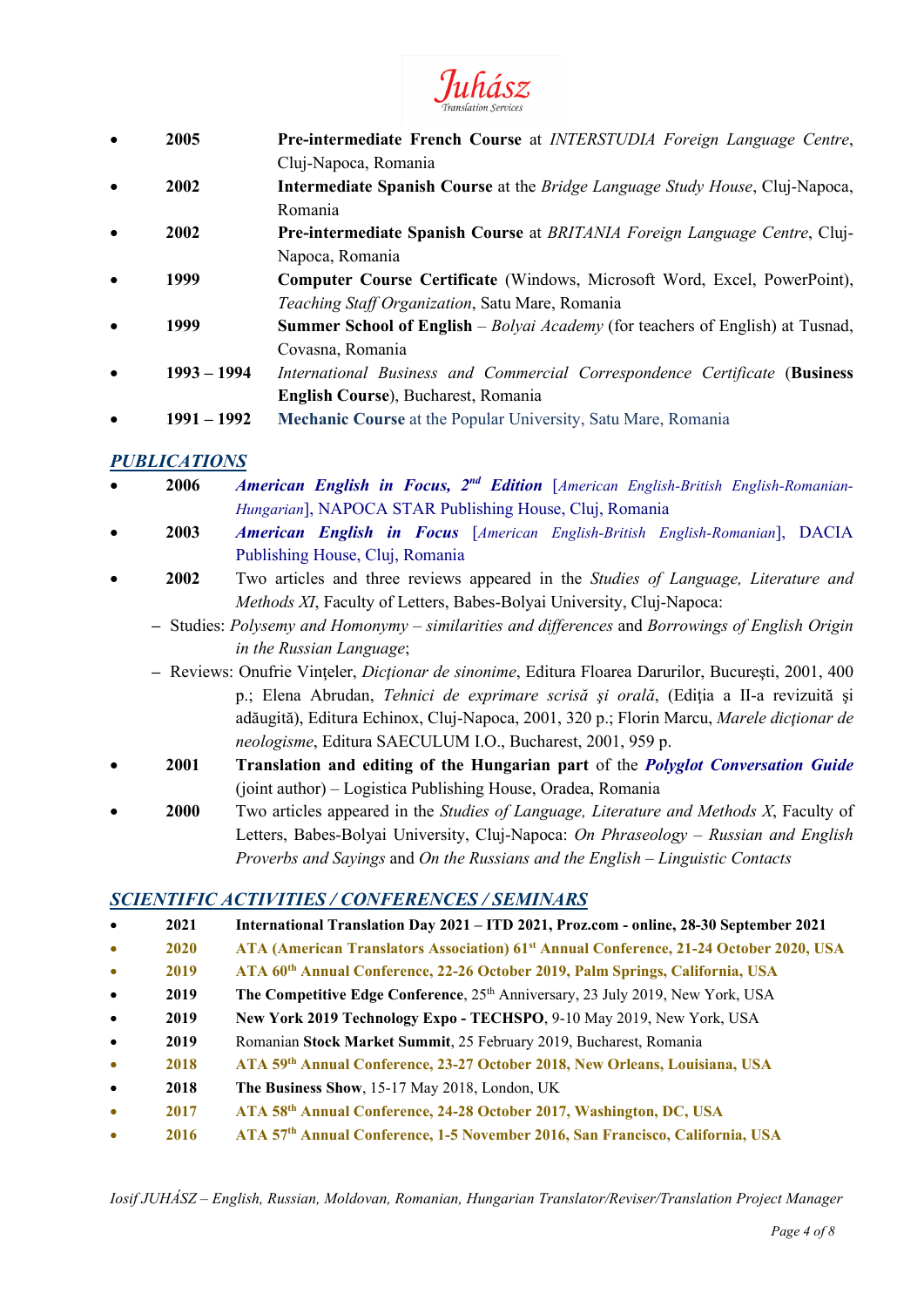

- **2005 Pre-intermediate French Course** at *INTERSTUDIA Foreign Language Centre*, Cluj-Napoca, Romania
- **2002 Intermediate Spanish Course** at the *Bridge Language Study House*, Cluj-Napoca, Romania
- **2002 Pre-intermediate Spanish Course** at *BRITANIA Foreign Language Centre*, Cluj-Napoca, Romania
- **1999 Computer Course Certificate** (Windows, Microsoft Word, Excel, PowerPoint), *Teaching Staff Organization*, Satu Mare, Romania
- **1999 Summer School of English** *Bolyai Academy* (for teachers of English) at Tusnad, Covasna, Romania
- **1993 – 1994** *International Business and Commercial Correspondence Certificate* (**Business English Course**), Bucharest, Romania
- **1991 – 1992 Mechanic Course** at the Popular University, Satu Mare, Romania

# *PUBLICATIONS*

- **2006** *American English in Focus, 2nd Edition* [*American English-British English-Romanian-Hungarian*], NAPOCA STAR Publishing House, Cluj, Romania
- **2003** *American English in Focus* [*American English-British English-Romanian*], DACIA Publishing House, Cluj, Romania
- **2002** Two articles and three reviews appeared in the *Studies of Language, Literature and Methods XI*, Faculty of Letters, Babes-Bolyai University, Cluj-Napoca:
	- **–** Studies: *Polysemy and Homonymy – similarities and differences* and *Borrowings of English Origin in the Russian Language*;
	- **–** Reviews: Onufrie Vinţeler, *Dicţionar de sinonime*, Editura Floarea Darurilor, Bucureşti, 2001, 400 p.; Elena Abrudan, *Tehnici de exprimare scrisă şi orală*, (Ediţia a II-a revizuită şi adăugită), Editura Echinox, Cluj-Napoca, 2001, 320 p.; Florin Marcu, *Marele dicţionar de neologisme*, Editura SAECULUM I.O., Bucharest, 2001, 959 p.
- **2001 Translation and editing of the Hungarian part** of the *Polyglot Conversation Guide* (joint author) – Logistica Publishing House, Oradea, Romania
- **2000** Two articles appeared in the *Studies of Language, Literature and Methods X*, Faculty of Letters, Babes-Bolyai University, Cluj-Napoca: *On Phraseology – Russian and English Proverbs and Sayings* and *On the Russians and the English* – *Linguistic Contacts*

# *SCIENTIFIC ACTIVITIES / CONFERENCES / SEMINARS*

- **2021 International Translation Day 2021 – ITD 2021, Proz.com - online, 28-30 September 2021**
- **2020 ATA (American Translators Association) 61st Annual Conference, 21-24 October 2020, USA**
- **2019 ATA 60th Annual Conference, 22-26 October 2019, Palm Springs, California, USA**
- **2019 The Competitive Edge Conference**,  $25<sup>th</sup>$  Anniversary, 23 July 2019, New York, USA
- **2019 New York 2019 Technology Expo - TECHSPO**, 9-10 May 2019, New York, USA
- **2019** Romanian **Stock Market Summit**, 25 February 2019, Bucharest, Romania
- **2018 ATA 59th Annual Conference, 23-27 October 2018, New Orleans, Louisiana, USA**
- **2018 The Business Show**, 15-17 May 2018, London, UK
- **2017 ATA 58th Annual Conference, 24-28 October 2017, Washington, DC, USA**
- **2016 ATA 57th Annual Conference, 1-5 November 2016, San Francisco, California, USA**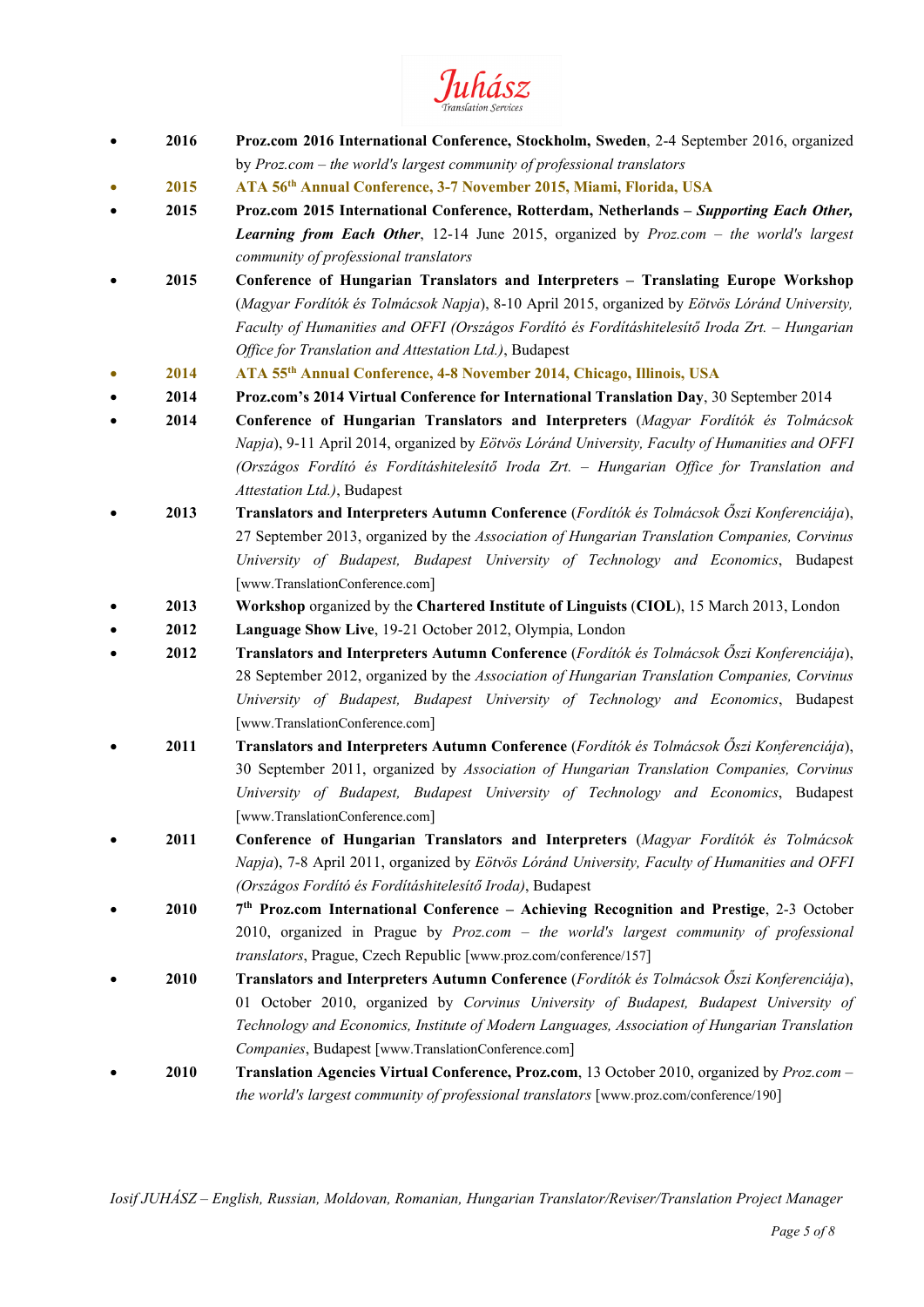Juhász

- **2016 Proz.com 2016 International Conference, Stockholm, Sweden**, 2-4 September 2016, organized by *Proz.com – the world's largest community of professional translators*
- **2015 ATA 56th Annual Conference, 3-7 November 2015, Miami, Florida, USA**
- **2015 Proz.com 2015 International Conference, Rotterdam, Netherlands –** *Supporting Each Other, Learning from Each Other*, 12-14 June 2015, organized by *Proz.com – the world's largest community of professional translators*
- **2015 Conference of Hungarian Translators and Interpreters – Translating Europe Workshop** (*Magyar Fordítók és Tolmácsok Napja*), 8-10 April 2015, organized by *Eötvös Lóránd University, Faculty of Humanities and OFFI (Országos Fordító és Fordításhitelesítő Iroda Zrt. – Hungarian Office for Translation and Attestation Ltd.)*, Budapest
- **2014 ATA 55th Annual Conference, 4-8 November 2014, Chicago, Illinois, USA**
- **2014 Proz.com's 2014 Virtual Conference for International Translation Day**, 30 September 2014
- **2014 Conference of Hungarian Translators and Interpreters** (*Magyar Fordítók és Tolmácsok Napja*), 9-11 April 2014, organized by *Eötvös Lóránd University, Faculty of Humanities and OFFI (Országos Fordító és Fordításhitelesítő Iroda Zrt. – Hungarian Office for Translation and Attestation Ltd.)*, Budapest
- **2013 Translators and Interpreters Autumn Conference** (*Fordítók és Tolmácsok Őszi Konferenciája*), 27 September 2013, organized by the *Association of Hungarian Translation Companies, Corvinus University of Budapest, Budapest University of Technology and Economics*, Budapest [www.TranslationConference.com]
- **2013 Workshop** organized by the **Chartered Institute of Linguists** (**CIOL**), 15 March 2013, London
- **2012 Language Show Live**, 19-21 October 2012, Olympia, London
- **2012 Translators and Interpreters Autumn Conference** (*Fordítók és Tolmácsok Őszi Konferenciája*), 28 September 2012, organized by the *Association of Hungarian Translation Companies, Corvinus University of Budapest, Budapest University of Technology and Economics*, Budapest [www.TranslationConference.com]
- **2011 Translators and Interpreters Autumn Conference** (*Fordítók és Tolmácsok Őszi Konferenciája*), 30 September 2011, organized by *Association of Hungarian Translation Companies, Corvinus University of Budapest, Budapest University of Technology and Economics*, Budapest [www.TranslationConference.com]
- **2011 Conference of Hungarian Translators and Interpreters** (*Magyar Fordítók és Tolmácsok Napja*), 7-8 April 2011, organized by *Eötvös Lóránd University, Faculty of Humanities and OFFI (Országos Fordító és Fordításhitelesítő Iroda)*, Budapest
- **2010 7th Proz.com International Conference – Achieving Recognition and Prestige**, 2-3 October 2010, organized in Prague by *Proz.com – the world's largest community of professional translators*, Prague, Czech Republic [www.proz.com/conference/157]
- **2010 Translators and Interpreters Autumn Conference** (*Fordítók és Tolmácsok Őszi Konferenciája*), 01 October 2010, organized by *Corvinus University of Budapest, Budapest University of Technology and Economics, Institute of Modern Languages, Association of Hungarian Translation Companies*, Budapest [www.TranslationConference.com]
- **2010 Translation Agencies Virtual Conference, Proz.com**, 13 October 2010, organized by *Proz.com – the world's largest community of professional translators* [www.proz.com/conference/190]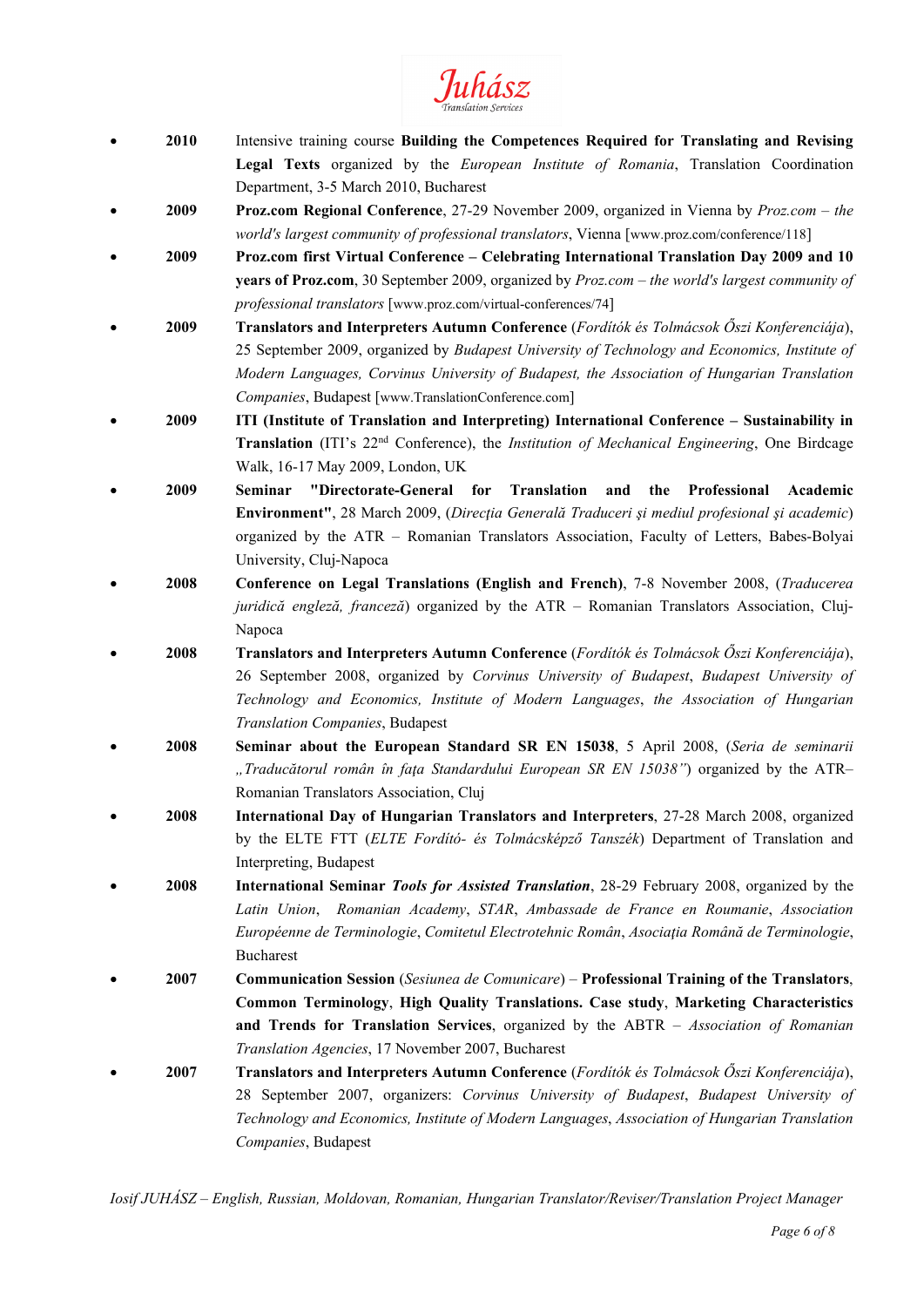

- **2010** Intensive training course **Building the Competences Required for Translating and Revising Legal Texts** organized by the *European Institute of Romania*, Translation Coordination Department, 3-5 March 2010, Bucharest
- **2009 Proz.com Regional Conference**, 27-29 November 2009, organized in Vienna by *Proz.com – the world's largest community of professional translators*, Vienna [www.proz.com/conference/118]
- **2009 Proz.com first Virtual Conference – Celebrating International Translation Day 2009 and 10 years of Proz.com**, 30 September 2009, organized by *Proz.com – the world's largest community of professional translators* [www.proz.com/virtual-conferences/74]
- **2009 Translators and Interpreters Autumn Conference** (*Fordítók és Tolmácsok Őszi Konferenciája*), 25 September 2009, organized by *Budapest University of Technology and Economics, Institute of Modern Languages, Corvinus University of Budapest, the Association of Hungarian Translation Companies*, Budapest [www.TranslationConference.com]
- **2009 ITI (Institute of Translation and Interpreting) International Conference – Sustainability in Translation** (ITI's 22nd Conference), the *Institution of Mechanical Engineering*, One Birdcage Walk, 16-17 May 2009, London, UK
- **2009 Seminar "Directorate-General for Translation and the Professional Academic Environment"**, 28 March 2009, (*Direcţia Generală Traduceri şi mediul profesional şi academic*) organized by the ATR – Romanian Translators Association, Faculty of Letters, Babes-Bolyai University, Cluj-Napoca
- **2008 Conference on Legal Translations (English and French)**, 7-8 November 2008, (*Traducerea juridică engleză, franceză*) organized by the ATR – Romanian Translators Association, Cluj-Napoca
- **2008 Translators and Interpreters Autumn Conference** (*Fordítók és Tolmácsok Őszi Konferenciája*), 26 September 2008, organized by *Corvinus University of Budapest*, *Budapest University of Technology and Economics, Institute of Modern Languages*, *the Association of Hungarian Translation Companies*, Budapest
- **2008 Seminar about the European Standard SR EN 15038**, 5 April 2008, (*Seria de seminarii "Traducătorul român în faţa Standardului European SR EN 15038"*) organized by the ATR– Romanian Translators Association, Cluj
- **2008 International Day of Hungarian Translators and Interpreters**, 27-28 March 2008, organized by the ELTE FTT (*ELTE Fordító- és Tolmácsképző Tanszék*) Department of Translation and Interpreting, Budapest
- **2008 International Seminar** *Tools for Assisted Translation*, 28-29 February 2008, organized by the *Latin Union*, *Romanian Academy*, *STAR*, *Ambassade de France en Roumanie*, *Association Européenne de Terminologie*, *Comitetul Electrotehnic Român*, *Asociaţia Română de Terminologie*, Bucharest
- **2007 Communication Session** (*Sesiunea de Comunicare*) **Professional Training of the Translators**, **Common Terminology**, **High Quality Translations. Case study**, **Marketing Characteristics and Trends for Translation Services**, organized by the ABTR – *Association of Romanian Translation Agencies*, 17 November 2007, Bucharest
- **2007 Translators and Interpreters Autumn Conference** (*Fordítók és Tolmácsok Őszi Konferenciája*), 28 September 2007, organizers: *Corvinus University of Budapest*, *Budapest University of Technology and Economics, Institute of Modern Languages*, *Association of Hungarian Translation Companies*, Budapest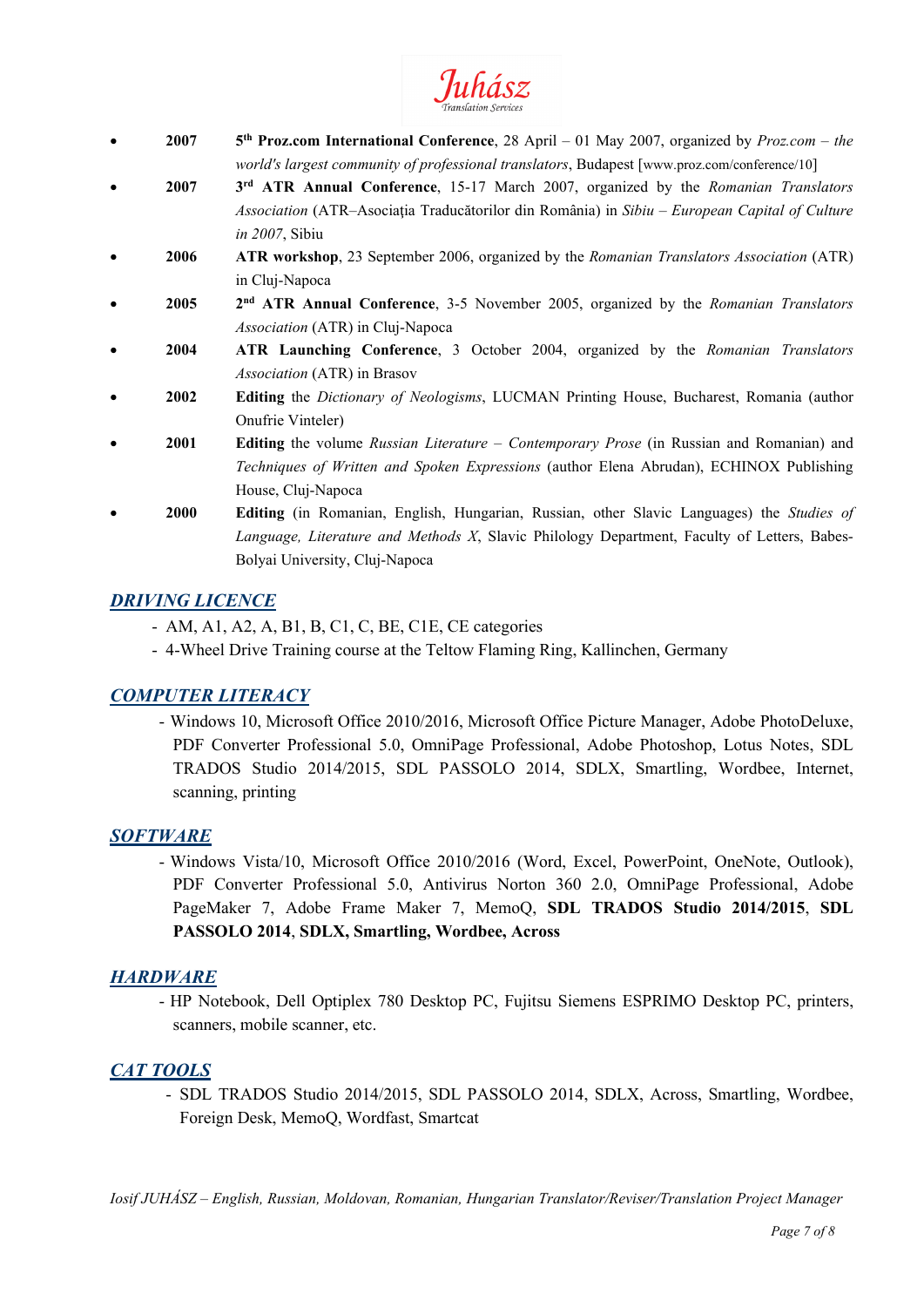

- **2007 5th Proz.com International Conference**, 28 April 01 May 2007, organized by *Proz.com – the world's largest community of professional translators*, Budapest [www.proz.com/conference/10]
- **2007 3rd ATR Annual Conference**, 15-17 March 2007, organized by the *Romanian Translators Association* (ATR–Asociaţia Traducătorilor din România) in *Sibiu* – *European Capital of Culture in 2007*, Sibiu
- **2006 ATR workshop**, 23 September 2006, organized by the *Romanian Translators Association* (ATR) in Cluj-Napoca
- **2005 2nd ATR Annual Conference**, 3-5 November 2005, organized by the *Romanian Translators Association* (ATR) in Cluj-Napoca
- **2004 ATR Launching Conference**, 3 October 2004, organized by the *Romanian Translators Association* (ATR) in Brasov
- **2002 Editing** the *Dictionary of Neologisms*, LUCMAN Printing House, Bucharest, Romania (author Onufrie Vinteler)
- **2001 Editing** the volume *Russian Literature – Contemporary Prose* (in Russian and Romanian) and *Techniques of Written and Spoken Expressions* (author Elena Abrudan), ECHINOX Publishing House, Cluj-Napoca
- **2000 Editing** (in Romanian, English, Hungarian, Russian, other Slavic Languages) the *Studies of Language, Literature and Methods X*, Slavic Philology Department, Faculty of Letters, Babes-Bolyai University, Cluj-Napoca

# *DRIVING LICENCE*

- AM, A1, A2, A, B1, B, C1, C, BE, C1E, CE categories
- 4-Wheel Drive Training course at the Teltow Flaming Ring, Kallinchen, Germany

# *COMPUTER LITERACY*

- Windows 10, Microsoft Office 2010/2016, Microsoft Office Picture Manager, Adobe PhotoDeluxe, PDF Converter Professional 5.0, OmniPage Professional, Adobe Photoshop, Lotus Notes, SDL TRADOS Studio 2014/2015, SDL PASSOLO 2014, SDLX, Smartling, Wordbee, Internet, scanning, printing

# *SOFTWARE*

- Windows Vista/10, Microsoft Office 2010/2016 (Word, Excel, PowerPoint, OneNote, Outlook), PDF Converter Professional 5.0, Antivirus Norton 360 2.0, OmniPage Professional, Adobe PageMaker 7, Adobe Frame Maker 7, MemoQ, **SDL TRADOS Studio 2014/2015**, **SDL PASSOLO 2014**, **SDLX, Smartling, Wordbee, Across**

# *HARDWARE*

- HP Notebook, Dell Optiplex 780 Desktop PC, Fujitsu Siemens ESPRIMO Desktop PC, printers, scanners, mobile scanner, etc.

# *CAT TOOLS*

- SDL TRADOS Studio 2014/2015, SDL PASSOLO 2014, SDLX, Across, Smartling, Wordbee, Foreign Desk, MemoQ, Wordfast, Smartcat